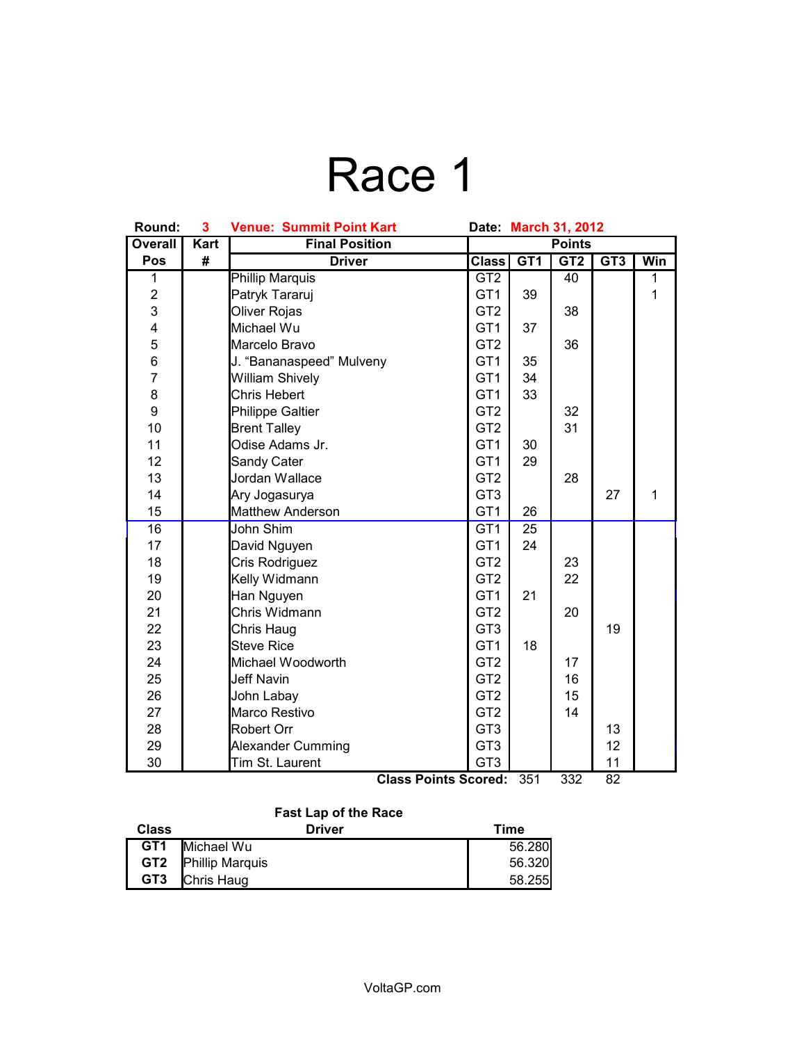# Race 1

| <b>Overall</b><br><b>Kart</b><br><b>Final Position</b><br>GT1<br><b>Class</b><br>GT3<br>Pos<br>#<br>GT <sub>2</sub><br>Win<br><b>Driver</b><br><b>Phillip Marquis</b><br>GT2<br>1<br>40<br>$\overline{1}$<br>$\overline{\mathbf{c}}$<br>$\mathbf 1$<br>39<br>Patryk Tararuj<br>GT <sub>1</sub><br>3<br>Oliver Rojas<br>GT <sub>2</sub><br>38<br>4<br>Michael Wu<br>GT <sub>1</sub><br>37<br>5<br>GT <sub>2</sub><br>Marcelo Bravo<br>36<br>6<br>GT <sub>1</sub><br>35<br>J. "Bananaspeed" Mulveny<br>$\overline{7}$<br>GT <sub>1</sub><br>34<br><b>William Shively</b><br>8<br>GT <sub>1</sub><br>33<br>Chris Hebert<br>9<br>GT <sub>2</sub><br>32<br><b>Philippe Galtier</b><br>10<br>31<br>GT <sub>2</sub><br><b>Brent Talley</b><br>11<br>Odise Adams Jr.<br>GT <sub>1</sub><br>30<br>12<br>GT <sub>1</sub><br>Sandy Cater<br>29<br>13<br>GT <sub>2</sub><br>Jordan Wallace<br>28<br>14<br>GT <sub>3</sub><br>27<br>$\mathbf{1}$<br>Ary Jogasurya<br>GT <sub>1</sub><br>15<br>Matthew Anderson<br>26<br>16<br>John Shim<br>GT <sub>1</sub><br>25<br>17<br>GT <sub>1</sub><br>24<br>David Nguyen<br>18<br>Cris Rodriguez<br>GT <sub>2</sub><br>23<br>19<br>Kelly Widmann<br>GT <sub>2</sub><br>22<br>20<br>Han Nguyen<br>GT <sub>1</sub><br>21<br>21<br>Chris Widmann<br>GT <sub>2</sub><br>20<br>22<br>19<br>GT <sub>3</sub><br>Chris Haug<br>23<br><b>Steve Rice</b><br>GT <sub>1</sub><br>18<br>GT <sub>2</sub><br>24<br>Michael Woodworth<br>17<br>25<br><b>Jeff Navin</b><br>GT <sub>2</sub><br>16<br>26<br>John Labay<br>GT <sub>2</sub><br>15<br>27<br>Marco Restivo<br>GT <sub>2</sub><br>14<br>28<br>Robert Orr<br>GT <sub>3</sub><br>13<br>GT <sub>3</sub><br>29<br>Alexander Cumming<br>12<br>GT <sub>3</sub><br>30<br>Tim St. Laurent<br>11 | Round: | 3 | <b>Venue: Summit Point Kart</b> | Date: March 31, 2012 |  |  |  |  |
|-----------------------------------------------------------------------------------------------------------------------------------------------------------------------------------------------------------------------------------------------------------------------------------------------------------------------------------------------------------------------------------------------------------------------------------------------------------------------------------------------------------------------------------------------------------------------------------------------------------------------------------------------------------------------------------------------------------------------------------------------------------------------------------------------------------------------------------------------------------------------------------------------------------------------------------------------------------------------------------------------------------------------------------------------------------------------------------------------------------------------------------------------------------------------------------------------------------------------------------------------------------------------------------------------------------------------------------------------------------------------------------------------------------------------------------------------------------------------------------------------------------------------------------------------------------------------------------------------------------------------------------------------------------------------------------------------------------------------------------------------------------|--------|---|---------------------------------|----------------------|--|--|--|--|
|                                                                                                                                                                                                                                                                                                                                                                                                                                                                                                                                                                                                                                                                                                                                                                                                                                                                                                                                                                                                                                                                                                                                                                                                                                                                                                                                                                                                                                                                                                                                                                                                                                                                                                                                                           |        |   |                                 | <b>Points</b>        |  |  |  |  |
|                                                                                                                                                                                                                                                                                                                                                                                                                                                                                                                                                                                                                                                                                                                                                                                                                                                                                                                                                                                                                                                                                                                                                                                                                                                                                                                                                                                                                                                                                                                                                                                                                                                                                                                                                           |        |   |                                 |                      |  |  |  |  |
|                                                                                                                                                                                                                                                                                                                                                                                                                                                                                                                                                                                                                                                                                                                                                                                                                                                                                                                                                                                                                                                                                                                                                                                                                                                                                                                                                                                                                                                                                                                                                                                                                                                                                                                                                           |        |   |                                 |                      |  |  |  |  |
|                                                                                                                                                                                                                                                                                                                                                                                                                                                                                                                                                                                                                                                                                                                                                                                                                                                                                                                                                                                                                                                                                                                                                                                                                                                                                                                                                                                                                                                                                                                                                                                                                                                                                                                                                           |        |   |                                 |                      |  |  |  |  |
|                                                                                                                                                                                                                                                                                                                                                                                                                                                                                                                                                                                                                                                                                                                                                                                                                                                                                                                                                                                                                                                                                                                                                                                                                                                                                                                                                                                                                                                                                                                                                                                                                                                                                                                                                           |        |   |                                 |                      |  |  |  |  |
|                                                                                                                                                                                                                                                                                                                                                                                                                                                                                                                                                                                                                                                                                                                                                                                                                                                                                                                                                                                                                                                                                                                                                                                                                                                                                                                                                                                                                                                                                                                                                                                                                                                                                                                                                           |        |   |                                 |                      |  |  |  |  |
|                                                                                                                                                                                                                                                                                                                                                                                                                                                                                                                                                                                                                                                                                                                                                                                                                                                                                                                                                                                                                                                                                                                                                                                                                                                                                                                                                                                                                                                                                                                                                                                                                                                                                                                                                           |        |   |                                 |                      |  |  |  |  |
|                                                                                                                                                                                                                                                                                                                                                                                                                                                                                                                                                                                                                                                                                                                                                                                                                                                                                                                                                                                                                                                                                                                                                                                                                                                                                                                                                                                                                                                                                                                                                                                                                                                                                                                                                           |        |   |                                 |                      |  |  |  |  |
|                                                                                                                                                                                                                                                                                                                                                                                                                                                                                                                                                                                                                                                                                                                                                                                                                                                                                                                                                                                                                                                                                                                                                                                                                                                                                                                                                                                                                                                                                                                                                                                                                                                                                                                                                           |        |   |                                 |                      |  |  |  |  |
|                                                                                                                                                                                                                                                                                                                                                                                                                                                                                                                                                                                                                                                                                                                                                                                                                                                                                                                                                                                                                                                                                                                                                                                                                                                                                                                                                                                                                                                                                                                                                                                                                                                                                                                                                           |        |   |                                 |                      |  |  |  |  |
|                                                                                                                                                                                                                                                                                                                                                                                                                                                                                                                                                                                                                                                                                                                                                                                                                                                                                                                                                                                                                                                                                                                                                                                                                                                                                                                                                                                                                                                                                                                                                                                                                                                                                                                                                           |        |   |                                 |                      |  |  |  |  |
|                                                                                                                                                                                                                                                                                                                                                                                                                                                                                                                                                                                                                                                                                                                                                                                                                                                                                                                                                                                                                                                                                                                                                                                                                                                                                                                                                                                                                                                                                                                                                                                                                                                                                                                                                           |        |   |                                 |                      |  |  |  |  |
|                                                                                                                                                                                                                                                                                                                                                                                                                                                                                                                                                                                                                                                                                                                                                                                                                                                                                                                                                                                                                                                                                                                                                                                                                                                                                                                                                                                                                                                                                                                                                                                                                                                                                                                                                           |        |   |                                 |                      |  |  |  |  |
|                                                                                                                                                                                                                                                                                                                                                                                                                                                                                                                                                                                                                                                                                                                                                                                                                                                                                                                                                                                                                                                                                                                                                                                                                                                                                                                                                                                                                                                                                                                                                                                                                                                                                                                                                           |        |   |                                 |                      |  |  |  |  |
|                                                                                                                                                                                                                                                                                                                                                                                                                                                                                                                                                                                                                                                                                                                                                                                                                                                                                                                                                                                                                                                                                                                                                                                                                                                                                                                                                                                                                                                                                                                                                                                                                                                                                                                                                           |        |   |                                 |                      |  |  |  |  |
|                                                                                                                                                                                                                                                                                                                                                                                                                                                                                                                                                                                                                                                                                                                                                                                                                                                                                                                                                                                                                                                                                                                                                                                                                                                                                                                                                                                                                                                                                                                                                                                                                                                                                                                                                           |        |   |                                 |                      |  |  |  |  |
|                                                                                                                                                                                                                                                                                                                                                                                                                                                                                                                                                                                                                                                                                                                                                                                                                                                                                                                                                                                                                                                                                                                                                                                                                                                                                                                                                                                                                                                                                                                                                                                                                                                                                                                                                           |        |   |                                 |                      |  |  |  |  |
|                                                                                                                                                                                                                                                                                                                                                                                                                                                                                                                                                                                                                                                                                                                                                                                                                                                                                                                                                                                                                                                                                                                                                                                                                                                                                                                                                                                                                                                                                                                                                                                                                                                                                                                                                           |        |   |                                 |                      |  |  |  |  |
|                                                                                                                                                                                                                                                                                                                                                                                                                                                                                                                                                                                                                                                                                                                                                                                                                                                                                                                                                                                                                                                                                                                                                                                                                                                                                                                                                                                                                                                                                                                                                                                                                                                                                                                                                           |        |   |                                 |                      |  |  |  |  |
|                                                                                                                                                                                                                                                                                                                                                                                                                                                                                                                                                                                                                                                                                                                                                                                                                                                                                                                                                                                                                                                                                                                                                                                                                                                                                                                                                                                                                                                                                                                                                                                                                                                                                                                                                           |        |   |                                 |                      |  |  |  |  |
|                                                                                                                                                                                                                                                                                                                                                                                                                                                                                                                                                                                                                                                                                                                                                                                                                                                                                                                                                                                                                                                                                                                                                                                                                                                                                                                                                                                                                                                                                                                                                                                                                                                                                                                                                           |        |   |                                 |                      |  |  |  |  |
|                                                                                                                                                                                                                                                                                                                                                                                                                                                                                                                                                                                                                                                                                                                                                                                                                                                                                                                                                                                                                                                                                                                                                                                                                                                                                                                                                                                                                                                                                                                                                                                                                                                                                                                                                           |        |   |                                 |                      |  |  |  |  |
|                                                                                                                                                                                                                                                                                                                                                                                                                                                                                                                                                                                                                                                                                                                                                                                                                                                                                                                                                                                                                                                                                                                                                                                                                                                                                                                                                                                                                                                                                                                                                                                                                                                                                                                                                           |        |   |                                 |                      |  |  |  |  |
|                                                                                                                                                                                                                                                                                                                                                                                                                                                                                                                                                                                                                                                                                                                                                                                                                                                                                                                                                                                                                                                                                                                                                                                                                                                                                                                                                                                                                                                                                                                                                                                                                                                                                                                                                           |        |   |                                 |                      |  |  |  |  |
|                                                                                                                                                                                                                                                                                                                                                                                                                                                                                                                                                                                                                                                                                                                                                                                                                                                                                                                                                                                                                                                                                                                                                                                                                                                                                                                                                                                                                                                                                                                                                                                                                                                                                                                                                           |        |   |                                 |                      |  |  |  |  |
|                                                                                                                                                                                                                                                                                                                                                                                                                                                                                                                                                                                                                                                                                                                                                                                                                                                                                                                                                                                                                                                                                                                                                                                                                                                                                                                                                                                                                                                                                                                                                                                                                                                                                                                                                           |        |   |                                 |                      |  |  |  |  |
|                                                                                                                                                                                                                                                                                                                                                                                                                                                                                                                                                                                                                                                                                                                                                                                                                                                                                                                                                                                                                                                                                                                                                                                                                                                                                                                                                                                                                                                                                                                                                                                                                                                                                                                                                           |        |   |                                 |                      |  |  |  |  |
|                                                                                                                                                                                                                                                                                                                                                                                                                                                                                                                                                                                                                                                                                                                                                                                                                                                                                                                                                                                                                                                                                                                                                                                                                                                                                                                                                                                                                                                                                                                                                                                                                                                                                                                                                           |        |   |                                 |                      |  |  |  |  |
|                                                                                                                                                                                                                                                                                                                                                                                                                                                                                                                                                                                                                                                                                                                                                                                                                                                                                                                                                                                                                                                                                                                                                                                                                                                                                                                                                                                                                                                                                                                                                                                                                                                                                                                                                           |        |   |                                 |                      |  |  |  |  |
|                                                                                                                                                                                                                                                                                                                                                                                                                                                                                                                                                                                                                                                                                                                                                                                                                                                                                                                                                                                                                                                                                                                                                                                                                                                                                                                                                                                                                                                                                                                                                                                                                                                                                                                                                           |        |   |                                 |                      |  |  |  |  |
|                                                                                                                                                                                                                                                                                                                                                                                                                                                                                                                                                                                                                                                                                                                                                                                                                                                                                                                                                                                                                                                                                                                                                                                                                                                                                                                                                                                                                                                                                                                                                                                                                                                                                                                                                           |        |   |                                 |                      |  |  |  |  |
|                                                                                                                                                                                                                                                                                                                                                                                                                                                                                                                                                                                                                                                                                                                                                                                                                                                                                                                                                                                                                                                                                                                                                                                                                                                                                                                                                                                                                                                                                                                                                                                                                                                                                                                                                           |        |   |                                 |                      |  |  |  |  |

**Class Points Scored:** 351 332 82

### **Fast Lap of the Race**

| <b>Class</b>    | <b>Driver</b>   | Time   |
|-----------------|-----------------|--------|
| GT <sub>1</sub> | Michael Wu      | 56.280 |
| GT2             | Phillip Marquis | 56.320 |
| GT <sub>3</sub> | Chris Haug      | 58.255 |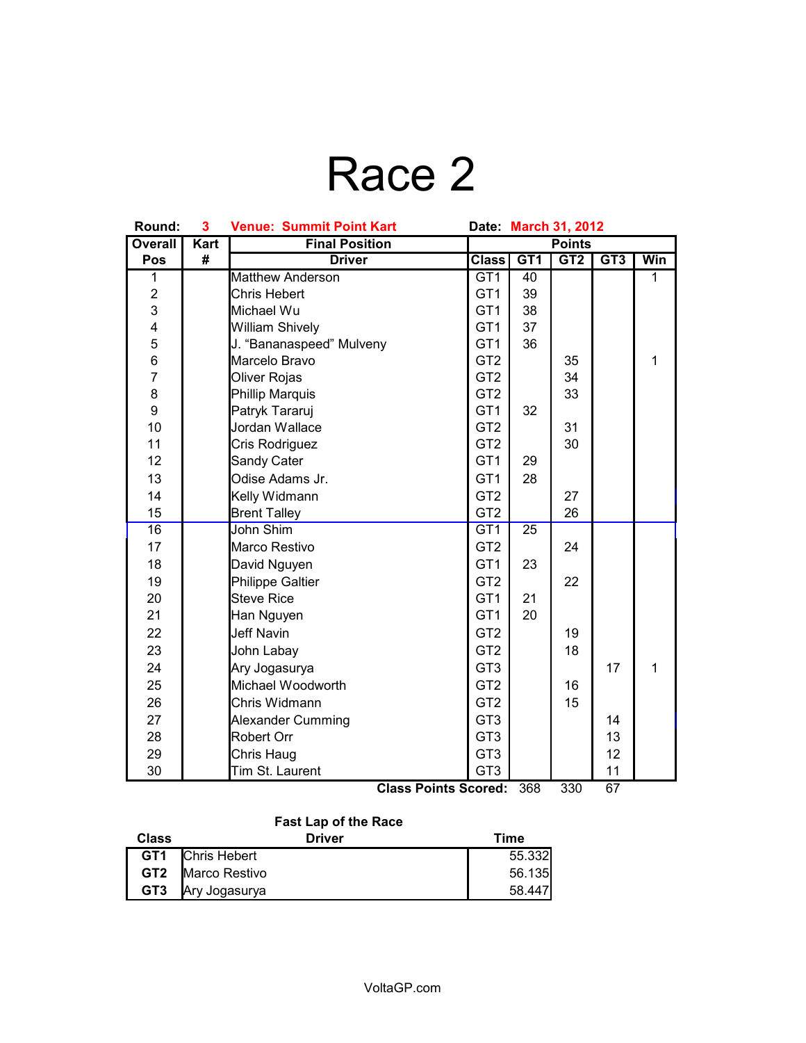# Race 2

| Round:                  |             | 3<br><b>Venue: Summit Point Kart</b><br>Date:<br><b>March 31, 2012</b> |                 |     |     |     |              |
|-------------------------|-------------|------------------------------------------------------------------------|-----------------|-----|-----|-----|--------------|
| <b>Overall</b>          | <b>Kart</b> | <b>Final Position</b>                                                  | <b>Points</b>   |     |     |     |              |
| Pos                     | #           | <b>Driver</b>                                                          | <b>Class</b>    | GT1 | GT2 | GT3 | Win          |
| 1                       |             | <b>Matthew Anderson</b>                                                | GT <sub>1</sub> | 40  |     |     | $\mathbf{1}$ |
| $\overline{c}$          |             | <b>Chris Hebert</b>                                                    | GT <sub>1</sub> | 39  |     |     |              |
| 3                       |             | Michael Wu                                                             | GT <sub>1</sub> | 38  |     |     |              |
| $\overline{\mathbf{4}}$ |             | <b>William Shively</b>                                                 | GT <sub>1</sub> | 37  |     |     |              |
| 5                       |             | J. "Bananaspeed" Mulveny                                               | GT <sub>1</sub> | 36  |     |     |              |
| 6                       |             | Marcelo Bravo                                                          | GT <sub>2</sub> |     | 35  |     | 1            |
| $\overline{7}$          |             | Oliver Rojas                                                           | GT <sub>2</sub> |     | 34  |     |              |
| 8                       |             | Phillip Marquis                                                        | GT <sub>2</sub> |     | 33  |     |              |
| 9                       |             | Patryk Tararuj                                                         | GT <sub>1</sub> | 32  |     |     |              |
| 10                      |             | Jordan Wallace                                                         | GT <sub>2</sub> |     | 31  |     |              |
| 11                      |             | Cris Rodriguez                                                         | GT <sub>2</sub> |     | 30  |     |              |
| 12                      |             | Sandy Cater                                                            | GT <sub>1</sub> | 29  |     |     |              |
| 13                      |             | Odise Adams Jr.                                                        | GT <sub>1</sub> | 28  |     |     |              |
| 14                      |             | Kelly Widmann                                                          | GT <sub>2</sub> |     | 27  |     |              |
| 15                      |             | <b>Brent Talley</b>                                                    | GT <sub>2</sub> |     | 26  |     |              |
| 16                      |             | John Shim                                                              | GT <sub>1</sub> | 25  |     |     |              |
| 17                      |             | Marco Restivo                                                          | GT <sub>2</sub> |     | 24  |     |              |
| 18                      |             | David Nguyen                                                           | GT <sub>1</sub> | 23  |     |     |              |
| 19                      |             | <b>Philippe Galtier</b>                                                | GT <sub>2</sub> |     | 22  |     |              |
| 20                      |             | <b>Steve Rice</b>                                                      | GT <sub>1</sub> | 21  |     |     |              |
| 21                      |             | Han Nguyen                                                             | GT <sub>1</sub> | 20  |     |     |              |
| 22                      |             | <b>Jeff Navin</b>                                                      | GT <sub>2</sub> |     | 19  |     |              |
| 23                      |             | John Labay                                                             | GT <sub>2</sub> |     | 18  |     |              |
| 24                      |             | Ary Jogasurya                                                          | GT <sub>3</sub> |     |     | 17  | 1            |
| 25                      |             | Michael Woodworth                                                      | GT <sub>2</sub> |     | 16  |     |              |
| 26                      |             | Chris Widmann                                                          | GT <sub>2</sub> |     | 15  |     |              |
| 27                      |             | Alexander Cumming                                                      | GT <sub>3</sub> |     |     | 14  |              |
| 28                      |             | Robert Orr                                                             | GT <sub>3</sub> |     |     | 13  |              |
| 29                      |             | Chris Haug                                                             | GT <sub>3</sub> |     |     | 12  |              |
| 30                      |             | Tim St. Laurent                                                        | GT <sub>3</sub> |     |     | 11  |              |
|                         |             | <b>Class Points Scored:</b>                                            |                 | 368 | 330 | 67  |              |

### **Fast Lap of the Race**

| Class           | Driver        | Time   |
|-----------------|---------------|--------|
| GT <sub>1</sub> | Chris Hebert  | 55.332 |
| GT2             | Marco Restivo | 56.135 |
| GT <sub>3</sub> | Ary Jogasurya | 58.447 |